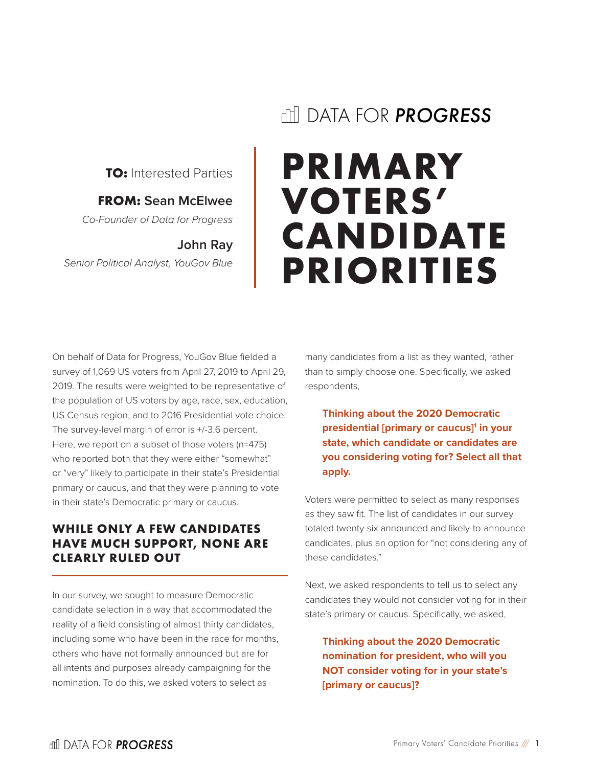# DATA FOR *PROGRESS*

**TO:** Interested Parties

#### **FROM: Sean McElwee**

*Co-Founder of Data for Progress*

#### **John Ray**

*Senior Political Analyst, YouGov Blue*

# **PRIMARY VOTERS' CANDIDATE PRIORITIES**

On behalf of Data for Progress, YouGov Blue fielded a survey of 1,069 US voters from April 27, 2019 to April 29, 2019. The results were weighted to be representative of the population of US voters by age, race, sex, education, US Census region, and to 2016 Presidential vote choice. The survey-level margin of error is +/-3.6 percent. Here, we report on a subset of those voters (n=475) who reported both that they were either "somewhat" or "very" likely to participate in their state's Presidential primary or caucus, and that they were planning to vote in their state's Democratic primary or caucus.

# **WHILE ONLY A FEW CANDIDATES HAVE MUCH SUPPORT, NONE ARE CLEARLY RULED OUT**

In our survey, we sought to measure Democratic candidate selection in a way that accommodated the reality of a field consisting of almost thirty candidates, including some who have been in the race for months, others who have not formally announced but are for all intents and purposes already campaigning for the nomination. To do this, we asked voters to select as

many candidates from a list as they wanted, rather than to simply choose one. Specifically, we asked respondents,

**Thinking about the 2020 Democratic presidential [primary or caucus]1 in your state, which candidate or candidates are you considering voting for? Select all that apply.**

Voters were permitted to select as many responses as they saw fit. The list of candidates in our survey totaled twenty-six announced and likely-to-announce candidates, plus an option for "not considering any of these candidates."

Next, we asked respondents to tell us to select any candidates they would not consider voting for in their state's primary or caucus. Specifically, we asked,

**Thinking about the 2020 Democratic nomination for president, who will you NOT consider voting for in your state's [primary or caucus]?**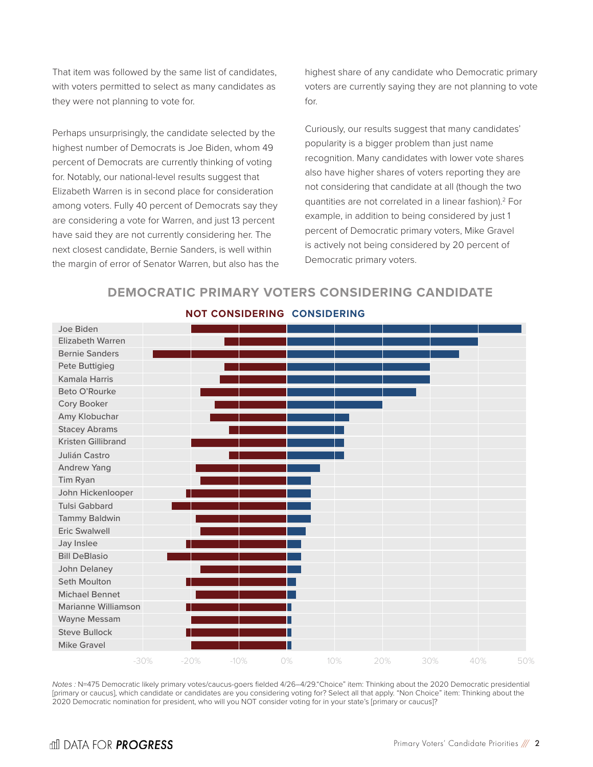That item was followed by the same list of candidates, with voters permitted to select as many candidates as they were not planning to vote for.

Perhaps unsurprisingly, the candidate selected by the highest number of Democrats is Joe Biden, whom 49 percent of Democrats are currently thinking of voting for. Notably, our national-level results suggest that Elizabeth Warren is in second place for consideration among voters. Fully 40 percent of Democrats say they are considering a vote for Warren, and just 13 percent have said they are not currently considering her. The next closest candidate, Bernie Sanders, is well within the margin of error of Senator Warren, but also has the highest share of any candidate who Democratic primary voters are currently saying they are not planning to vote for.

Curiously, our results suggest that many candidates' popularity is a bigger problem than just name recognition. Many candidates with lower vote shares also have higher shares of voters reporting they are not considering that candidate at all (though the two quantities are not correlated in a linear fashion).<sup>2</sup> For example, in addition to being considered by just 1 percent of Democratic primary voters, Mike Gravel is actively not being considered by 20 percent of Democratic primary voters.





#### **NOT CONSIDERING CONSIDERING**

*Notes :* N=475 Democratic likely primary votes/caucus-goers fielded 4/26–4/29."Choice" item: Thinking about the 2020 Democratic presidential [primary or caucus], which candidate or candidates are you considering voting for? Select all that apply. "Non Choice" item: Thinking about the 2020 Democratic nomination for president, who will you NOT consider voting for in your state's [primary or caucus]?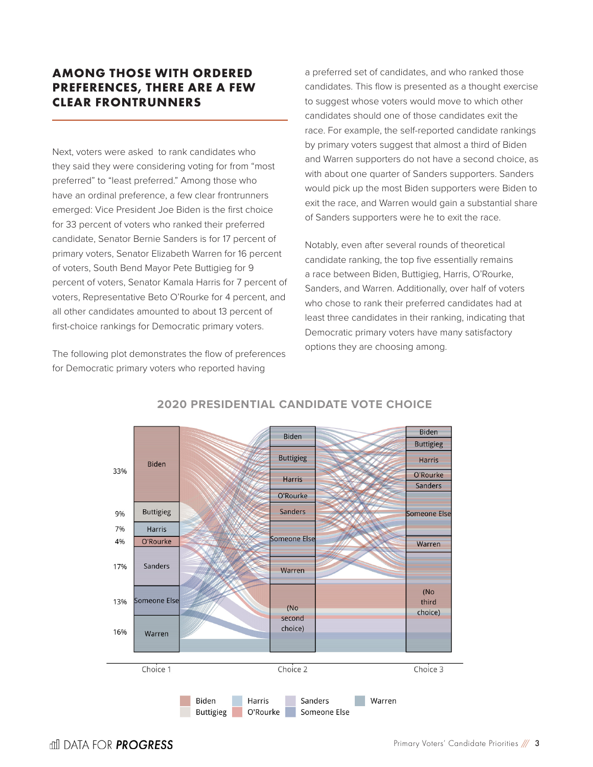# **AMONG THOSE WITH ORDERED PREFERENCES, THERE ARE A FEW CLEAR FRONTRUNNERS**

Next, voters were asked to rank candidates who they said they were considering voting for from "most preferred" to "least preferred." Among those who have an ordinal preference, a few clear frontrunners emerged: Vice President Joe Biden is the first choice for 33 percent of voters who ranked their preferred candidate, Senator Bernie Sanders is for 17 percent of primary voters, Senator Elizabeth Warren for 16 percent of voters, South Bend Mayor Pete Buttigieg for 9 percent of voters, Senator Kamala Harris for 7 percent of voters, Representative Beto O'Rourke for 4 percent, and all other candidates amounted to about 13 percent of first-choice rankings for Democratic primary voters.

The following plot demonstrates the flow of preferences for Democratic primary voters who reported having

a preferred set of candidates, and who ranked those candidates. This flow is presented as a thought exercise to suggest whose voters would move to which other candidates should one of those candidates exit the race. For example, the self-reported candidate rankings by primary voters suggest that almost a third of Biden and Warren supporters do not have a second choice, as with about one quarter of Sanders supporters. Sanders would pick up the most Biden supporters were Biden to exit the race, and Warren would gain a substantial share of Sanders supporters were he to exit the race.

Notably, even after several rounds of theoretical candidate ranking, the top five essentially remains a race between Biden, Buttigieg, Harris, O'Rourke, Sanders, and Warren. Additionally, over half of voters who chose to rank their preferred candidates had at least three candidates in their ranking, indicating that Democratic primary voters have many satisfactory options they are choosing among.



#### **2020 PRESIDENTIAL CANDIDATE VOTE CHOICE**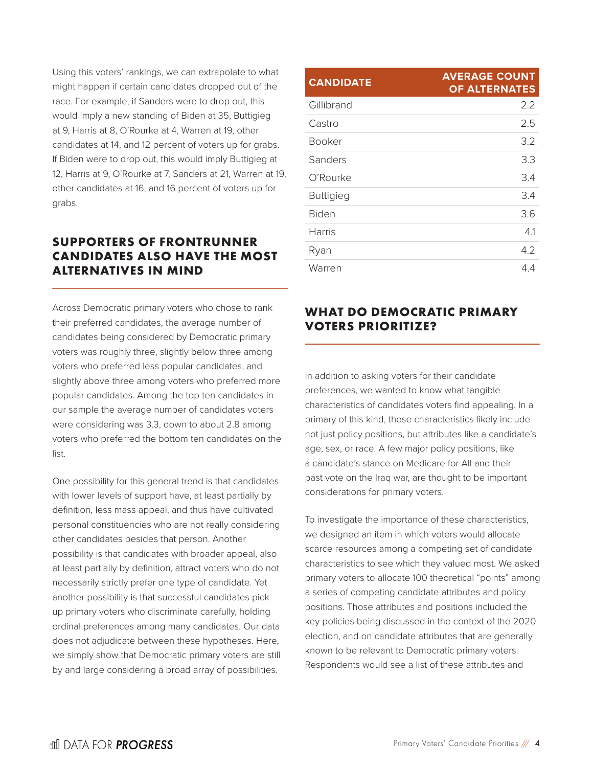Using this voters' rankings, we can extrapolate to what might happen if certain candidates dropped out of the race. For example, if Sanders were to drop out, this would imply a new standing of Biden at 35, Buttigieg at 9, Harris at 8, O'Rourke at 4, Warren at 19, other candidates at 14, and 12 percent of voters up for grabs. If Biden were to drop out, this would imply Buttigieg at 12, Harris at 9, O'Rourke at 7, Sanders at 21, Warren at 19, other candidates at 16, and 16 percent of voters up for grabs.

## **SUPPORTERS OF FRONTRUNNER CANDIDATES ALSO HAVE THE MOST ALTERNATIVES IN MIND**

Across Democratic primary voters who chose to rank their preferred candidates, the average number of candidates being considered by Democratic primary voters was roughly three, slightly below three among voters who preferred less popular candidates, and slightly above three among voters who preferred more popular candidates. Among the top ten candidates in our sample the average number of candidates voters were considering was 3.3, down to about 2.8 among voters who preferred the bottom ten candidates on the list.

One possibility for this general trend is that candidates with lower levels of support have, at least partially by definition, less mass appeal, and thus have cultivated personal constituencies who are not really considering other candidates besides that person. Another possibility is that candidates with broader appeal, also at least partially by definition, attract voters who do not necessarily strictly prefer one type of candidate. Yet another possibility is that successful candidates pick up primary voters who discriminate carefully, holding ordinal preferences among many candidates. Our data does not adjudicate between these hypotheses. Here, we simply show that Democratic primary voters are still by and large considering a broad array of possibilities.

| <b>CANDIDATE</b> | <b>AVERAGE COUNT</b><br><b>OF ALTERNATES</b> |
|------------------|----------------------------------------------|
| Gillibrand       | 2.2                                          |
| Castro           | 2.5                                          |
| <b>Booker</b>    | 3.2                                          |
| Sanders          | 3.3                                          |
| O'Rourke         | 3.4                                          |
| <b>Buttigieg</b> | 3.4                                          |
| <b>Biden</b>     | 3.6                                          |
| <b>Harris</b>    | 4.1                                          |
| Ryan             | 4.2                                          |
| Warren           | 4.4                                          |

# **WHAT DO DEMOCRATIC PRIMARY VOTERS PRIORITIZE?**

In addition to asking voters for their candidate preferences, we wanted to know what tangible characteristics of candidates voters find appealing. In a primary of this kind, these characteristics likely include not just policy positions, but attributes like a candidate's age, sex, or race. A few major policy positions, like a candidate's stance on Medicare for All and their past vote on the Iraq war, are thought to be important considerations for primary voters.

To investigate the importance of these characteristics, we designed an item in which voters would allocate scarce resources among a competing set of candidate characteristics to see which they valued most. We asked primary voters to allocate 100 theoretical "points" among a series of competing candidate attributes and policy positions. Those attributes and positions included the key policies being discussed in the context of the 2020 election, and on candidate attributes that are generally known to be relevant to Democratic primary voters. Respondents would see a list of these attributes and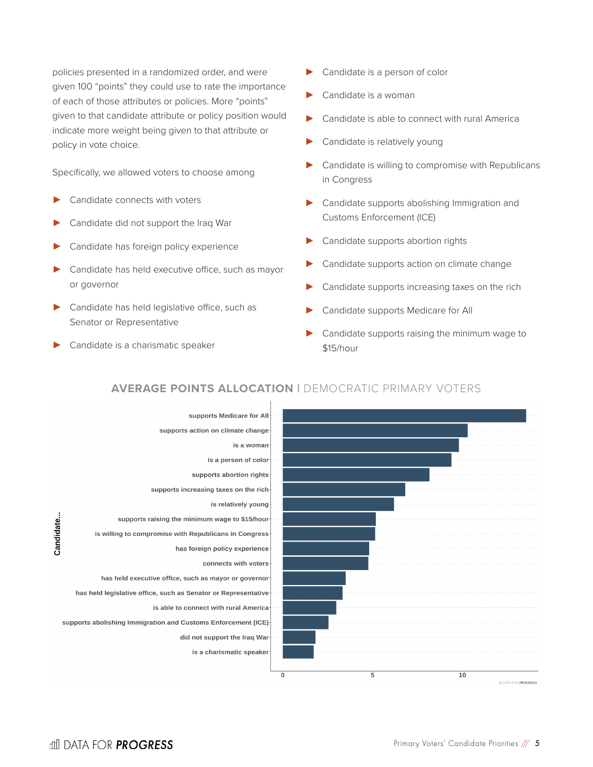policies presented in a randomized order, and were given 100 "points" they could use to rate the importance of each of those attributes or policies. More "points" given to that candidate attribute or policy position would indicate more weight being given to that attribute or policy in vote choice.

Specifically, we allowed voters to choose among

- Candidate connects with voters
- Candidate did not support the Iraq War
- Candidate has foreign policy experience
- Candidate has held executive office, such as mayor or governor
- Candidate has held legislative office, such as Senator or Representative
- Candidate is a charismatic speaker
- Candidate is a person of color
- Candidate is a woman
- Candidate is able to connect with rural America
- Candidate is relatively young
- Candidate is willing to compromise with Republicans in Congress
- Candidate supports abolishing Immigration and Customs Enforcement (ICE)
- Candidate supports abortion rights
- Candidate supports action on climate change
- Candidate supports increasing taxes on the rich
- Candidate supports Medicare for All
- Candidate supports raising the minimum wage to \$15/hour



## **AVERAGE POINTS ALLOCATION |** DEMOCRATIC PRIMARY VOTERS

Candidate..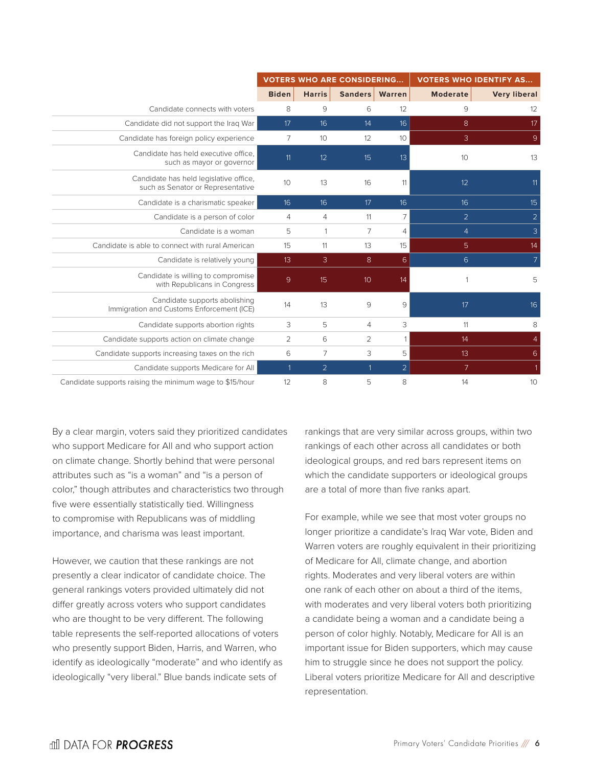|                                                                             | <b>VOTERS WHO ARE CONSIDERING</b> |                 |                |                  | <b>VOTERS WHO IDENTIFY AS</b> |                     |
|-----------------------------------------------------------------------------|-----------------------------------|-----------------|----------------|------------------|-------------------------------|---------------------|
|                                                                             | <b>Biden</b>                      | <b>Harris</b>   | Sanders        | Warren           | <b>Moderate</b>               | <b>Very liberal</b> |
| Candidate connects with voters                                              | 8                                 | 9               | 6              | 12               | 9                             | 12                  |
| Candidate did not support the Iraq War                                      | 17                                | 16              | 14             | 16               | 8                             | 17                  |
| Candidate has foreign policy experience                                     | $\overline{7}$                    | 10 <sup>°</sup> | 12             | 10               | 3                             | 9                   |
| Candidate has held executive office.<br>such as mayor or governor           | 11                                | 12              | 15             | 13               | 10 <sup>°</sup>               | 13                  |
| Candidate has held legislative office,<br>such as Senator or Representative | 10                                | 13              | 16             | 11               | 12                            | 11                  |
| Candidate is a charismatic speaker                                          | 16                                | 16              | 17             | 16               | 16                            | 15                  |
| Candidate is a person of color                                              | $\overline{4}$                    | $\overline{4}$  | 11             | 7                | $\overline{2}$                | $\overline{2}$      |
| Candidate is a woman                                                        | 5                                 | 1               | 7              | 4                | $\overline{4}$                | 3                   |
| Candidate is able to connect with rural American                            | 15                                | 11              | 13             | 15               | 5                             | 14                  |
| Candidate is relatively young                                               | 13                                | $\mathbf{3}$    | 8              | $6 \overline{6}$ | 6                             | $\overline{7}$      |
| Candidate is willing to compromise<br>with Republicans in Congress          | 9                                 | 15              | 10             | 14               |                               | 5                   |
| Candidate supports abolishing<br>Immigration and Customs Enforcement (ICE)  | 14                                | 13              | 9              | 9                | 17                            | 16                  |
| Candidate supports abortion rights                                          | 3                                 | 5               | $\overline{4}$ | 3                | 11                            | 8                   |
| Candidate supports action on climate change                                 | $\overline{2}$                    | 6               | 2              | $\mathbf{1}$     | 14                            | $\overline{4}$      |
| Candidate supports increasing taxes on the rich                             | 6                                 | 7               | 3              | 5                | 13                            | 6                   |
| Candidate supports Medicare for All                                         |                                   | $\overline{2}$  |                | $\overline{2}$   | $7^{\circ}$                   | 1                   |
| Candidate supports raising the minimum wage to \$15/hour                    | 12                                | 8               | 5              | 8                | 14                            | 10                  |

By a clear margin, voters said they prioritized candidates who support Medicare for All and who support action on climate change. Shortly behind that were personal attributes such as "is a woman" and "is a person of color," though attributes and characteristics two through five were essentially statistically tied. Willingness to compromise with Republicans was of middling importance, and charisma was least important.

However, we caution that these rankings are not presently a clear indicator of candidate choice. The general rankings voters provided ultimately did not differ greatly across voters who support candidates who are thought to be very different. The following table represents the self-reported allocations of voters who presently support Biden, Harris, and Warren, who identify as ideologically "moderate" and who identify as ideologically "very liberal." Blue bands indicate sets of

rankings that are very similar across groups, within two rankings of each other across all candidates or both ideological groups, and red bars represent items on which the candidate supporters or ideological groups are a total of more than five ranks apart.

For example, while we see that most voter groups no longer prioritize a candidate's Iraq War vote, Biden and Warren voters are roughly equivalent in their prioritizing of Medicare for All, climate change, and abortion rights. Moderates and very liberal voters are within one rank of each other on about a third of the items, with moderates and very liberal voters both prioritizing a candidate being a woman and a candidate being a person of color highly. Notably, Medicare for All is an important issue for Biden supporters, which may cause him to struggle since he does not support the policy. Liberal voters prioritize Medicare for All and descriptive representation.